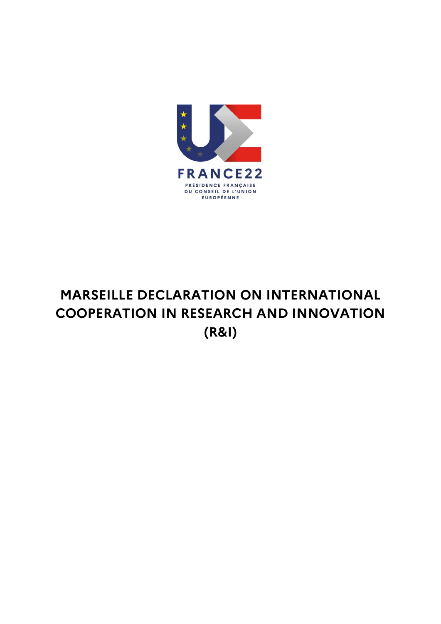

## **MARSEILLE DECLARATION ON INTERNATIONAL COOPERATION IN RESEARCH AND INNOVATION (R&I)**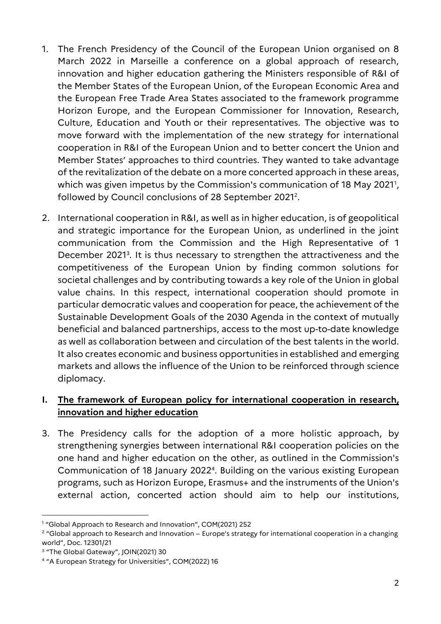- 1. The French Presidency of the Council of the European Union organised on 8 March 2022 in Marseille a conference on a global approach of research, innovation and higher education gathering the Ministers responsible of R&I of the Member States of the European Union, of the European Economic Area and the European Free Trade Area States associated to the framework programme Horizon Europe, and the European Commissioner for Innovation, Research, Culture, Education and Youth or their representatives. The objective was to move forward with the implementation of the new strategy for international cooperation in R&I of the European Union and to better concert the Union and Member States' approaches to third countries. They wanted to take advantage of the revitalization of the debate on a more concerted approach in these areas, which was given impetus by the Commission's communication of 18 May 2021<sup>1</sup> , followed by Council conclusions of 28 September 2021<sup>2</sup> .
- 2. International cooperation in R&I, as well as in higher education, is of geopolitical and strategic importance for the European Union, as underlined in the joint communication from the Commission and the High Representative of 1 December 2021<sup>3</sup> *.* It is thus necessary to strengthen the attractiveness and the competitiveness of the European Union by finding common solutions for societal challenges and by contributing towards a key role of the Union in global value chains. In this respect, international cooperation should promote in particular democratic values and cooperation for peace, the achievement of the Sustainable Development Goals of the 2030 Agenda in the context of mutually beneficial and balanced partnerships, access to the most up-to-date knowledge as well as collaboration between and circulation of the best talents in the world. It also creates economic and business opportunities in established and emerging markets and allows the influence of the Union to be reinforced through science diplomacy.

## **I. The framework of European policy for international cooperation in research, innovation and higher education**

3. The Presidency calls for the adoption of a more holistic approach, by strengthening synergies between international R&I cooperation policies on the one hand and higher education on the other, as outlined in the Commission's Communication of 18 January 2022<sup>4</sup> . Building on the various existing European programs, such as Horizon Europe, Erasmus+ and the instruments of the Union's external action, concerted action should aim to help our institutions,

<sup>1</sup> "Global Approach to Research and Innovation", COM(2021) 252

<sup>&</sup>lt;sup>2</sup> "Global approach to Research and Innovation – Europe's strategy for international cooperation in a changing world", Doc. 12301/21

<sup>3</sup> "The Global Gateway", JOIN(2021) 30

<sup>4</sup> "A European Strategy for Universities", COM(2022) 16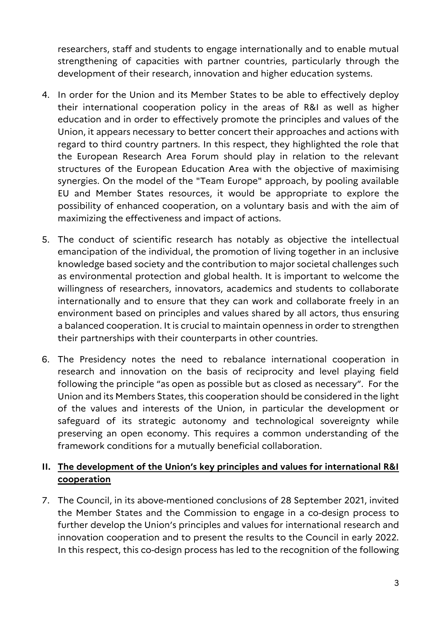researchers, staff and students to engage internationally and to enable mutual strengthening of capacities with partner countries, particularly through the development of their research, innovation and higher education systems.

- 4. In order for the Union and its Member States to be able to effectively deploy their international cooperation policy in the areas of R&I as well as higher education and in order to effectively promote the principles and values of the Union, it appears necessary to better concert their approaches and actions with regard to third country partners. In this respect, they highlighted the role that the European Research Area Forum should play in relation to the relevant structures of the European Education Area with the objective of maximising synergies. On the model of the "Team Europe" approach, by pooling available EU and Member States resources, it would be appropriate to explore the possibility of enhanced cooperation, on a voluntary basis and with the aim of maximizing the effectiveness and impact of actions.
- 5. The conduct of scientific research has notably as objective the intellectual emancipation of the individual, the promotion of living together in an inclusive knowledge based society and the contribution to major societal challenges such as environmental protection and global health. It is important to welcome the willingness of researchers, innovators, academics and students to collaborate internationally and to ensure that they can work and collaborate freely in an environment based on principles and values shared by all actors, thus ensuring a balanced cooperation. It is crucial to maintain openness in order to strengthen their partnerships with their counterparts in other countries.
- 6. The Presidency notes the need to rebalance international cooperation in research and innovation on the basis of reciprocity and level playing field following the principle "as open as possible but as closed as necessary". For the Union and its Members States, this cooperation should be considered in the light of the values and interests of the Union, in particular the development or safeguard of its strategic autonomy and technological sovereignty while preserving an open economy. This requires a common understanding of the framework conditions for a mutually beneficial collaboration.

## **II. The development of the Union's key principles and values for international R&I cooperation**

7. The Council, in its above-mentioned conclusions of 28 September 2021, invited the Member States and the Commission to engage in a co-design process to further develop the Union's principles and values for international research and innovation cooperation and to present the results to the Council in early 2022. In this respect, this co-design process has led to the recognition of the following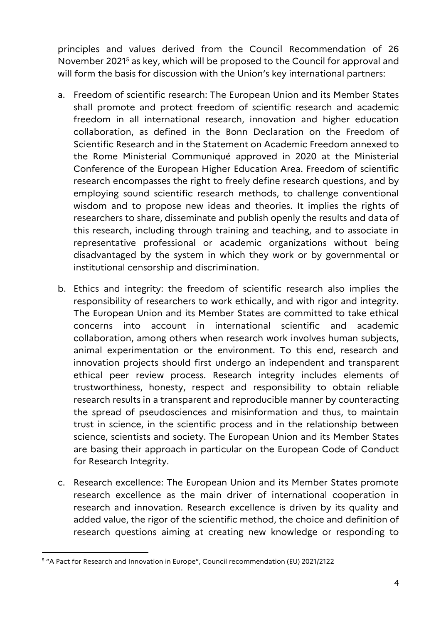principles and values derived from the Council Recommendation of 26 November 2021<sup>5</sup> as key, which will be proposed to the Council for approval and will form the basis for discussion with the Union's key international partners:

- a. Freedom of scientific research: The European Union and its Member States shall promote and protect freedom of scientific research and academic freedom in all international research, innovation and higher education collaboration, as defined in the Bonn Declaration on the Freedom of Scientific Research and in the Statement on Academic Freedom annexed to the Rome Ministerial Communiqué approved in 2020 at the Ministerial Conference of the European Higher Education Area. Freedom of scientific research encompasses the right to freely define research questions, and by employing sound scientific research methods, to challenge conventional wisdom and to propose new ideas and theories. It implies the rights of researchers to share, disseminate and publish openly the results and data of this research, including through training and teaching, and to associate in representative professional or academic organizations without being disadvantaged by the system in which they work or by governmental or institutional censorship and discrimination.
- b. Ethics and integrity: the freedom of scientific research also implies the responsibility of researchers to work ethically, and with rigor and integrity. The European Union and its Member States are committed to take ethical concerns into account in international scientific and academic collaboration, among others when research work involves human subjects, animal experimentation or the environment. To this end, research and innovation projects should first undergo an independent and transparent ethical peer review process. Research integrity includes elements of trustworthiness, honesty, respect and responsibility to obtain reliable research results in a transparent and reproducible manner by counteracting the spread of pseudosciences and misinformation and thus, to maintain trust in science, in the scientific process and in the relationship between science, scientists and society. The European Union and its Member States are basing their approach in particular on the European Code of Conduct for Research Integrity.
- c. Research excellence: The European Union and its Member States promote research excellence as the main driver of international cooperation in research and innovation. Research excellence is driven by its quality and added value, the rigor of the scientific method, the choice and definition of research questions aiming at creating new knowledge or responding to

 $\overline{a}$ 

<sup>5</sup> "A Pact for Research and Innovation in Europe", Council recommendation (EU) 2021/2122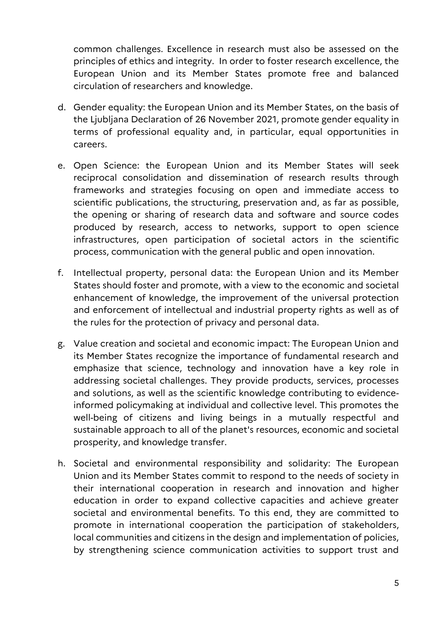common challenges. Excellence in research must also be assessed on the principles of ethics and integrity. In order to foster research excellence, the European Union and its Member States promote free and balanced circulation of researchers and knowledge.

- d. Gender equality: the European Union and its Member States, on the basis of the Ljubljana Declaration of 26 November 2021, promote gender equality in terms of professional equality and, in particular, equal opportunities in careers.
- e. Open Science: the European Union and its Member States will seek reciprocal consolidation and dissemination of research results through frameworks and strategies focusing on open and immediate access to scientific publications, the structuring, preservation and, as far as possible, the opening or sharing of research data and software and source codes produced by research, access to networks, support to open science infrastructures, open participation of societal actors in the scientific process, communication with the general public and open innovation.
- f. Intellectual property, personal data: the European Union and its Member States should foster and promote, with a view to the economic and societal enhancement of knowledge, the improvement of the universal protection and enforcement of intellectual and industrial property rights as well as of the rules for the protection of privacy and personal data.
- g. Value creation and societal and economic impact: The European Union and its Member States recognize the importance of fundamental research and emphasize that science, technology and innovation have a key role in addressing societal challenges. They provide products, services, processes and solutions, as well as the scientific knowledge contributing to evidenceinformed policymaking at individual and collective level. This promotes the well-being of citizens and living beings in a mutually respectful and sustainable approach to all of the planet's resources, economic and societal prosperity, and knowledge transfer.
- h. Societal and environmental responsibility and solidarity: The European Union and its Member States commit to respond to the needs of society in their international cooperation in research and innovation and higher education in order to expand collective capacities and achieve greater societal and environmental benefits. To this end, they are committed to promote in international cooperation the participation of stakeholders, local communities and citizens in the design and implementation of policies, by strengthening science communication activities to support trust and